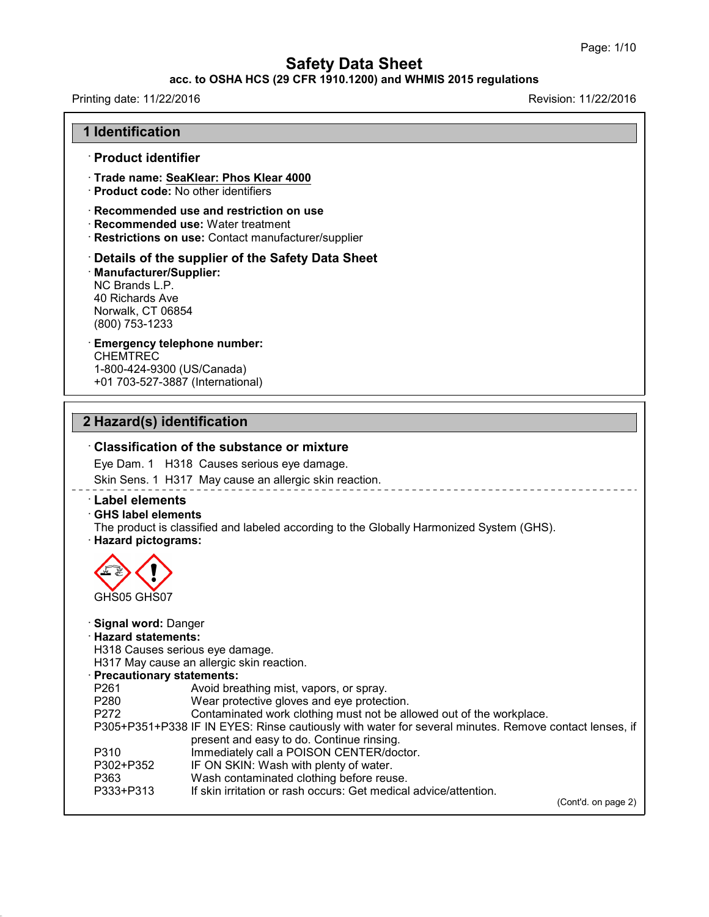#### **acc. to OSHA HCS (29 CFR 1910.1200) and WHMIS 2015 regulations**

## Printing date: 11/22/2016 **Revision: 11/22/2016**

43.0

| <b>1 Identification</b>                                                                                   |                                                                                                                                              |
|-----------------------------------------------------------------------------------------------------------|----------------------------------------------------------------------------------------------------------------------------------------------|
| · Product identifier                                                                                      |                                                                                                                                              |
|                                                                                                           | Trade name: SeaKlear: Phos Klear 4000<br>· Product code: No other identifiers                                                                |
|                                                                                                           | $\cdot$ Recommended use and restriction on use<br>· Recommended use: Water treatment<br>· Restrictions on use: Contact manufacturer/supplier |
| <b>Manufacturer/Supplier:</b><br>NC Brands L.P.<br>40 Richards Ave<br>Norwalk, CT 06854<br>(800) 753-1233 | Details of the supplier of the Safety Data Sheet                                                                                             |
| <b>CHEMTREC</b><br>1-800-424-9300 (US/Canada)                                                             | <b>Emergency telephone number:</b><br>+01 703-527-3887 (International)                                                                       |
| 2 Hazard(s) identification                                                                                |                                                                                                                                              |
|                                                                                                           | $\cdot$ Classification of the substance or mixture                                                                                           |
|                                                                                                           | Eye Dam. 1 H318 Causes serious eye damage.                                                                                                   |
|                                                                                                           | Skin Sens. 1 H317 May cause an allergic skin reaction.                                                                                       |
| <b>Label elements</b><br><b>GHS label elements</b><br>· Hazard pictograms:                                | The product is classified and labeled according to the Globally Harmonized System (GHS).                                                     |
| GHS05 GHS07                                                                                               |                                                                                                                                              |
| Signal word: Danger                                                                                       |                                                                                                                                              |
| · Hazard statements:                                                                                      |                                                                                                                                              |
|                                                                                                           | H318 Causes serious eye damage.                                                                                                              |
| · Precautionary statements:                                                                               | H317 May cause an allergic skin reaction.                                                                                                    |
| P261                                                                                                      | Avoid breathing mist, vapors, or spray.                                                                                                      |
| P280<br>P272                                                                                              | Wear protective gloves and eye protection.<br>Contaminated work clothing must not be allowed out of the workplace.                           |
|                                                                                                           | P305+P351+P338 IF IN EYES: Rinse cautiously with water for several minutes. Remove contact lenses, if                                        |
| P310                                                                                                      | present and easy to do. Continue rinsing.<br>Immediately call a POISON CENTER/doctor.                                                        |
| P302+P352                                                                                                 | IF ON SKIN: Wash with plenty of water.                                                                                                       |
| P363                                                                                                      | Wash contaminated clothing before reuse.                                                                                                     |
| P333+P313                                                                                                 | If skin irritation or rash occurs: Get medical advice/attention.                                                                             |

(Cont'd. on page 2)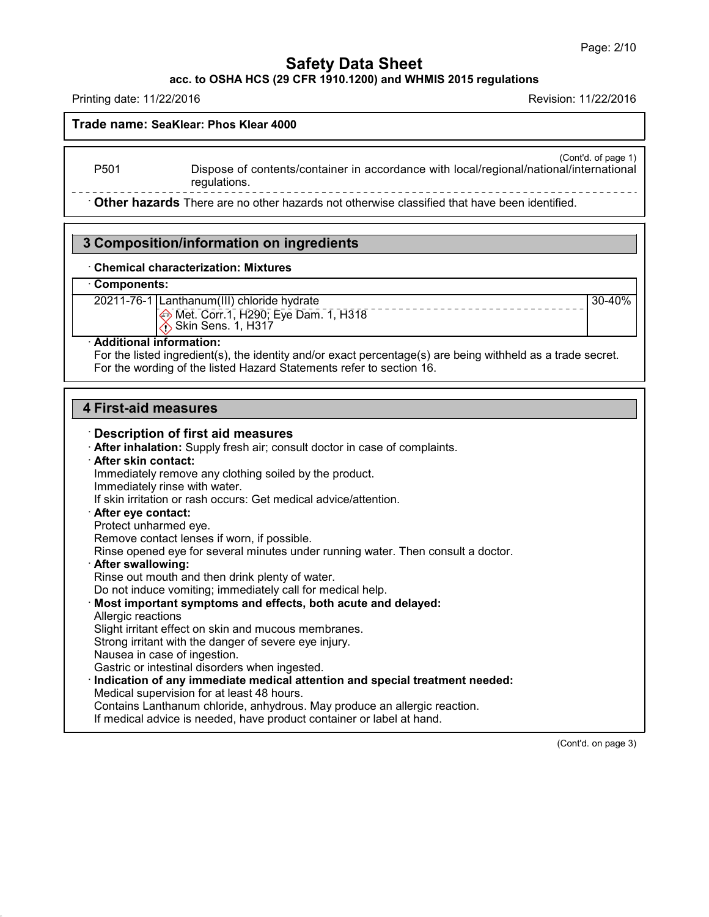30-40%

## **Safety Data Sheet**

**acc. to OSHA HCS (29 CFR 1910.1200) and WHMIS 2015 regulations**

Printing date: 11/22/2016 Revision: 11/22/2016

## **Trade name: SeaKlear: Phos Klear 4000**

(Cont'd. of page 1)

P501 Dispose of contents/container in accordance with local/regional/national/international regulations.

· **Other hazards** There are no other hazards nototherwise classified that have been identified.

## **3 Composition/information on ingredients**

#### · **Chemical characterization: Mixtures**

#### · **Components:**

20211-76-1 Lanthanum(III) chloride hydrate Met. Corr.1, H290; Eye Dam. 1, H318 **Skin Sens. 1, H317** 

#### · **Additional information:**

For the listed ingredient(s), the identity and/or exact percentage(s) are being withheld as a trade secret. For the wording of the listed Hazard Statements refer to section 16.

## **4 First-aid measures**

#### · **Description of first aid measures**

· **After inhalation:** Supply fresh air; consult doctor in case of complaints.

#### · **After skin contact:**

Immediately remove any clothing soiled by the product. Immediately rinse with water.

If skin irritation or rash occurs: Get medical advice/attention.

#### · **After eye contact:**

Protect unharmed eye.

Remove contact lenses if worn, if possible.

Rinse opened eye for several minutes under running water. Then consult a doctor.

#### · **After swallowing:**

Rinse out mouth and then drink plenty of water.

Do not induce vomiting; immediately call for medical help.

#### · **Most important symptoms and effects, both acute and delayed:**

Allergic reactions

43.0

Slight irritant effect on skin and mucous membranes.

Strong irritant with the danger of severe eye injury.

Nausea in case of ingestion.

Gastric or intestinal disorders when ingested.

· **Indication of any immediate medical attention and special treatment needed:**

Medical supervision for at least 48 hours.

Contains Lanthanum chloride, anhydrous. May produce an allergic reaction.

If medical advice is needed, have product container or label at hand.

(Cont'd. on page 3)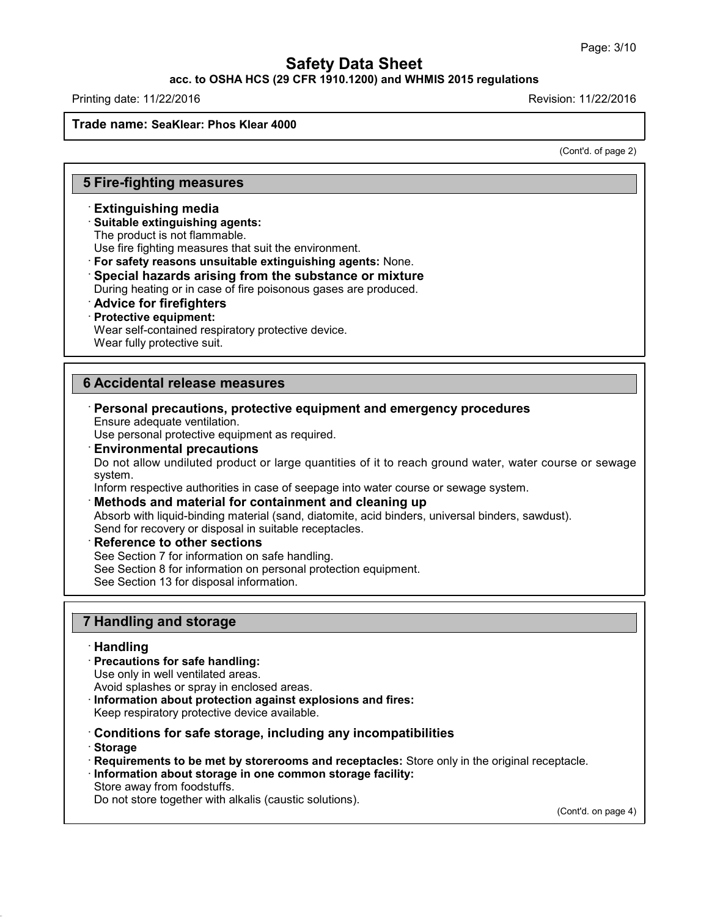## **acc. to OSHA HCS (29 CFR 1910.1200) and WHMIS 2015 regulations**

Printing date: 11/22/2016 Revision: 11/22/2016

#### **Trade name: SeaKlear: Phos Klear 4000**

(Cont'd. of page 2)

## **5 Fire-fighting measures**

#### · **Extinguishing media**

#### · **Suitable extinguishing agents:**

The product is not flammable.

Use fire fighting measures that suit the environment.

· **For safety reasons unsuitable extinguishing agents:** None.

· **Special hazards arising from the substance or mixture**

During heating or in case of fire poisonous gases are produced.

· **Advice for firefighters**

#### · **Protective equipment:**

Wear self-contained respiratory protective device.

Wear fully protective suit.

## **6 Accidental release measures**

· **Personal precautions, protective equipment and emergency procedures** Ensure adequate ventilation.

Use personal protective equipment as required.

#### · **Environmental precautions**

Do not allow undiluted product or large quantities of it to reach ground water, water course or sewage system.

Inform respective authorities in case of seepage into water course or sewage system.

#### · **Methods and material for containment and cleaning up**

Absorb with liquid-binding material (sand, diatomite, acid binders, universal binders, sawdust). Send for recovery or disposal in suitable receptacles.

#### · **Reference to other sections**

See Section 7 for information on safe handling.

See Section 8 for information on personal protection equipment.

See Section 13 for disposal information.

## **7 Handling and storage**

#### · **Handling**

· **Precautions for safe handling:**

Use only in well ventilated areas.

Avoid splashes or spray in enclosed areas.

· **Information about protection against explosions and fires:**

Keep respiratory protective device available.

· **Conditions for safe storage, including any incompatibilities**

· **Storage**

43.0

- · **Requirements to be met by storerooms and receptacles:** Store only in the original receptacle.
- · **Information about storage in one common storage facility:**
- Store away from foodstuffs.

Do not store together with alkalis (caustic solutions).

(Cont'd. on page 4)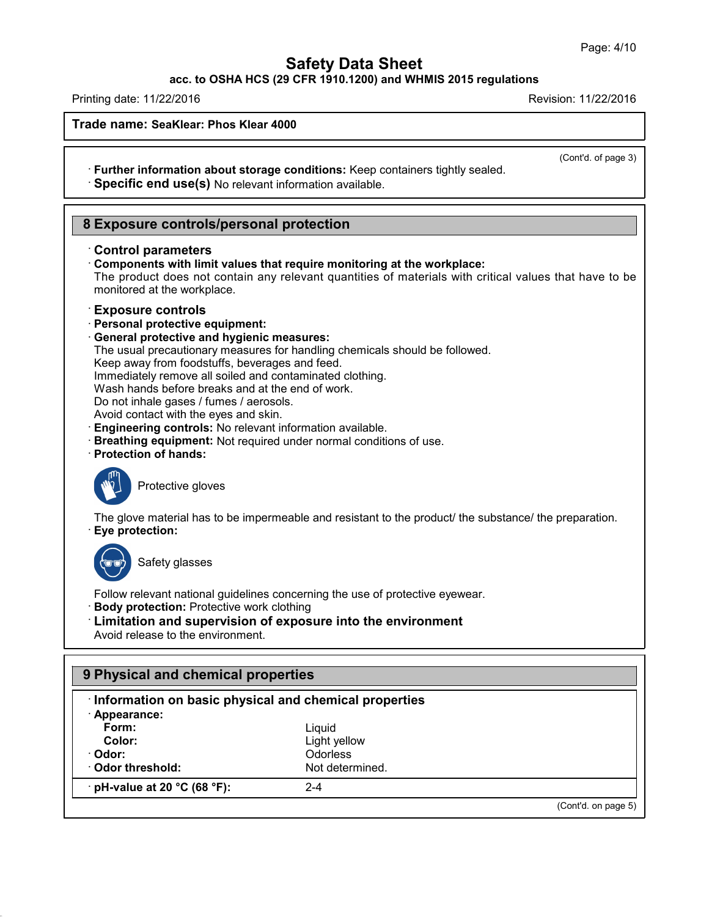**acc. to OSHA HCS (29 CFR 1910.1200) and WHMIS 2015 regulations**

Printing date: 11/22/2016 Revision: 11/22/2016

**Trade name: SeaKlear: Phos Klear 4000**

(Cont'd. of page 3)

· **Further information about storage conditions:** Keep containers tightly sealed. · **Specific end use(s)** No relevant information available.

## **8 Exposure controls/personal protection**

#### · **Control parameters**

· **Components with limit values that require monitoring at the workplace:**

The product does not contain any relevant quantities of materials with critical values that have to be monitored at the workplace.

#### · **Exposure controls**

- · **Personal protective equipment:**
- · **General protective and hygienic measures:**
- The usual precautionary measures for handling chemicals should be followed.

Keep away from foodstuffs, beverages and feed.

Immediately remove all soiled and contaminated clothing.

Wash hands before breaks and at the end of work.

Do not inhale gases / fumes / aerosols.

Avoid contact with the eyes and skin.

- · **Engineering controls:** No relevant information available.
- · **Breathing equipment:** Not required under normal conditions of use.
- · **Protection of hands:**



Protective gloves

The glove material has to be impermeable and resistant to the product/ the substance/ the preparation. · **Eye protection:**



43.0

Safety glasses

Follow relevant national guidelines concerning the use of protective eyewear.

· **Body protection:** Protective work clothing

## · **Limitation and supervision of exposure into the environment**

Avoid release to the environment.

| Information on basic physical and chemical properties |                 |  |
|-------------------------------------------------------|-----------------|--|
| · Appearance:                                         |                 |  |
| Form:                                                 | Liquid          |  |
| Color:                                                | Light yellow    |  |
| · Odor:                                               | <b>Odorless</b> |  |
| Odor threshold:                                       | Not determined. |  |
| $\cdot$ pH-value at 20 °C (68 °F):                    | $2 - 4$         |  |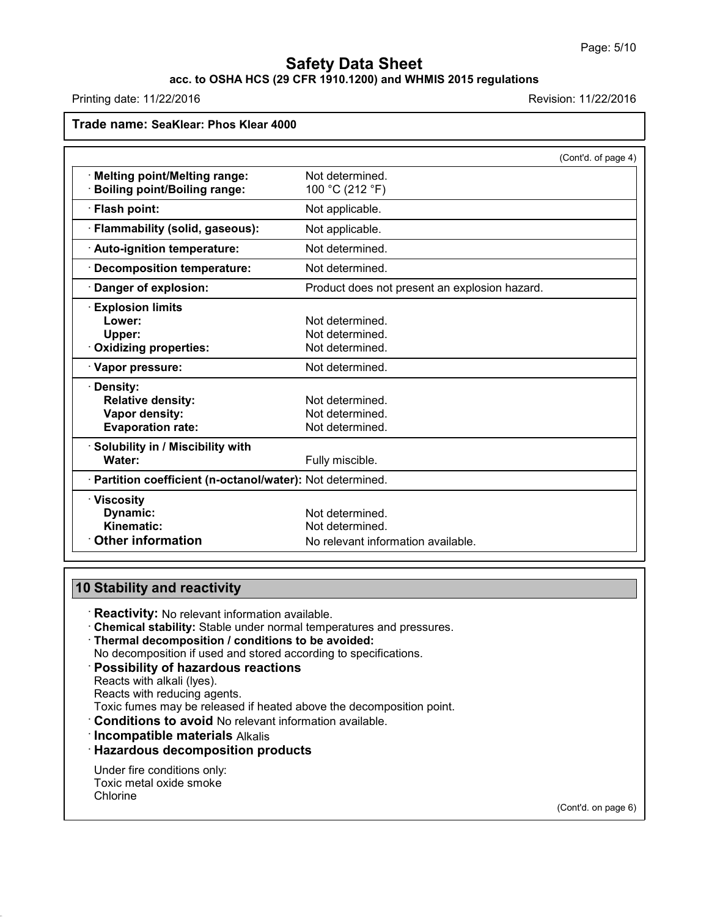# **acc. to OSHA HCS (29 CFR 1910.1200) and WHMIS 2015 regulations**

Printing date: 11/22/2016 **Revision: 11/22/2016** Revision: 11/22/2016

| Trade name: SeaKlear: Phos Klear 4000                                                |                                                       |                     |
|--------------------------------------------------------------------------------------|-------------------------------------------------------|---------------------|
|                                                                                      |                                                       | (Cont'd. of page 4) |
| <b>Melting point/Melting range:</b><br><b>Boiling point/Boiling range:</b>           | Not determined.<br>100 °C (212 °F)                    |                     |
| <b>Flash point:</b>                                                                  | Not applicable.                                       |                     |
| Flammability (solid, gaseous):                                                       | Not applicable.                                       |                     |
| · Auto-ignition temperature:                                                         | Not determined.                                       |                     |
| <b>Decomposition temperature:</b>                                                    | Not determined.                                       |                     |
| Danger of explosion:                                                                 | Product does not present an explosion hazard.         |                     |
| <b>Explosion limits</b><br>Lower:<br>Upper:<br><b>Oxidizing properties:</b>          | Not determined.<br>Not determined.<br>Not determined. |                     |
| · Vapor pressure:                                                                    | Not determined.                                       |                     |
| · Density:<br><b>Relative density:</b><br>Vapor density:<br><b>Evaporation rate:</b> | Not determined.<br>Not determined.<br>Not determined. |                     |
| · Solubility in / Miscibility with<br>Water:                                         | Fully miscible.                                       |                     |
| · Partition coefficient (n-octanol/water): Not determined.                           |                                                       |                     |
| $\cdot$ Viscosity<br>Dynamic:<br>Kinematic:                                          | Not determined.<br>Not determined.                    |                     |
| <b>Other information</b>                                                             | No relevant information available                     |                     |

## **10 Stability and reactivity**

· **Reactivity:** No relevant information available.

· **Chemical stability:** Stable under normal temperatures and pressures.

· **Thermal decomposition / conditions to be avoided:**

No decomposition if used and stored according to specifications.

#### · **Possibility of hazardous reactions**

Reacts with alkali (lyes).

Reacts with reducing agents.

Toxic fumes may be released if heated above the decomposition point.

· **Conditions to avoid** No relevant information available.

· **Incompatible materials** Alkalis

· **Hazardous decomposition products**

Under fire conditions only: Toxic metal oxide smoke Chlorine

43.0

(Cont'd. on page 6)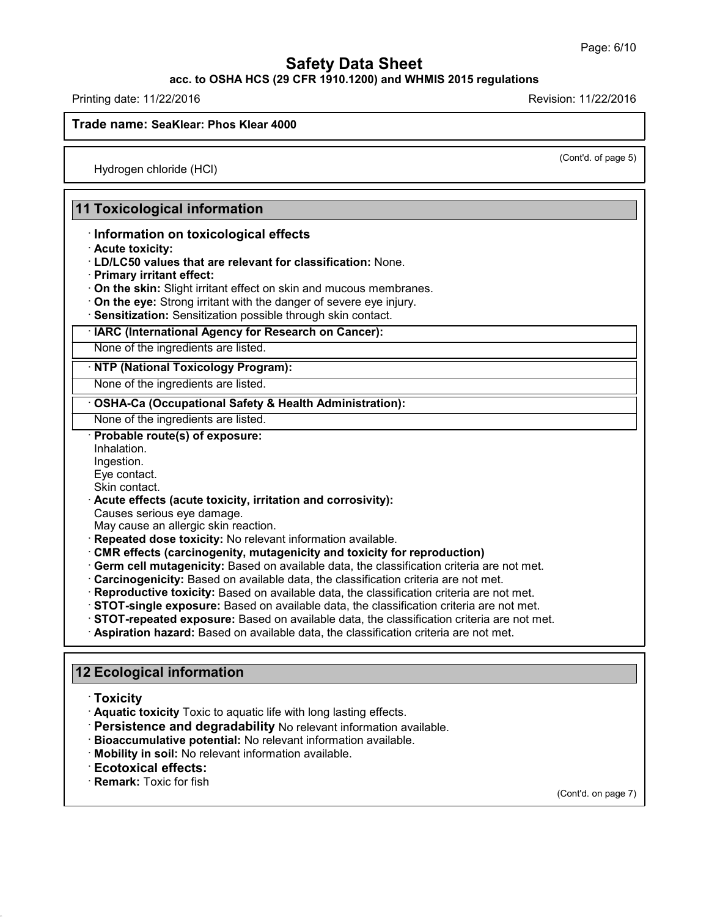**acc. to OSHA HCS (29 CFR 1910.1200) and WHMIS 2015 regulations**

Printing date: 11/22/2016 Revision: 11/22/2016

**Trade name: SeaKlear: Phos Klear 4000**

(Cont'd. of page 5)

Hydrogen chloride (HCl)

## **11 Toxicological information**

## · **Information on toxicological effects**

- · **Acute toxicity:**
- · **LD/LC50 values that are relevant for classification:** None.
- · **Primary irritant effect:**
- · **On the skin:** Slight irritant effect on skin and mucous membranes.
- · **On the eye:** Strong irritant with the danger of severe eye injury.
- · **Sensitization:** Sensitization possible through skin contact.

## · **IARC (International Agency for Research on Cancer):**

None of the ingredients are listed.

#### · **NTP (National Toxicology Program):**

None of the ingredients are listed.

#### · **OSHA-Ca (Occupational Safety & Health Administration):**

None of the ingredients are listed.

#### · **Probable route(s) of exposure:**

Inhalation. Ingestion.

Eye contact.

Skin contact.

## · **Acute effects (acute toxicity, irritation and corrosivity):**

Causes serious eye damage.

May cause an allergic skin reaction.

- · **Repeated dose toxicity:** No relevant information available.
- · **CMR effects (carcinogenity, mutagenicity and toxicity for reproduction)**
- · **Germ cell mutagenicity:** Based on available data, the classification criteria are not met.
- · **Carcinogenicity:** Based on available data, the classification criteria are not met.
- · **Reproductive toxicity:** Based on available data, the classification criteria are not met.
- · **STOT-single exposure:** Based on available data, the classification criteria are not met.
- · **STOT-repeated exposure:** Based on available data, the classification criteria are not met.
- · **Aspiration hazard:** Based on available data, the classification criteria are not met.

## **12 Ecological information**

· **Toxicity**

43.0

- · **Aquatic toxicity** Toxic to aquatic life with long lasting effects.
- · **Persistence and degradability** No relevant information available.
- · **Bioaccumulative potential:** No relevant information available.
- · **Mobility in soil:** No relevant information available.
- · **Ecotoxical effects:**
- · **Remark:** Toxic for fish

(Cont'd. on page 7)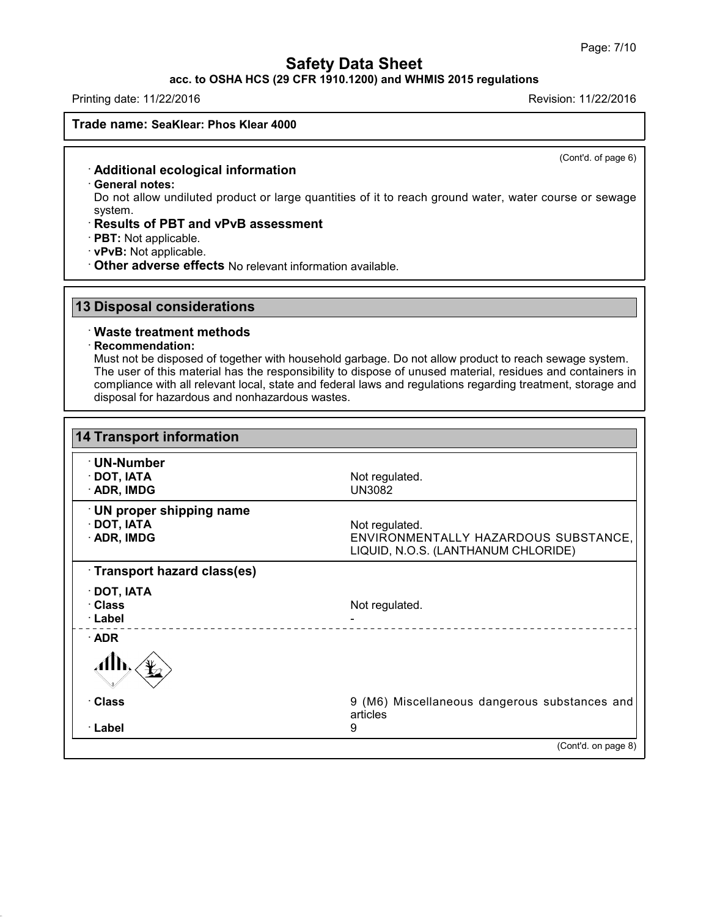**acc. to OSHA HCS (29 CFR 1910.1200) and WHMIS 2015 regulations**

Printing date: 11/22/2016 Revision: 11/22/2016

**Trade name: SeaKlear: Phos Klear 4000**

(Cont'd. of page 6)

## · **Additional ecological information**

· **General notes:**

Do not allow undiluted product or large quantities of it to reach ground water, water course or sewage system.

## · **Results of PBT and vPvB assessment**

- · **PBT:** Not applicable.
- · **vPvB:** Not applicable.
- · **Other adverse effects** No relevant information available.

## **13 Disposal considerations**

## · **Waste treatment methods**

#### · **Recommendation:**

43.0

Must not be disposed of together with household garbage. Do not allow product to reach sewage system. The user of this material has the responsibility to dispose of unused material, residues and containers in compliance with all relevant local, state and federal laws and regulations regarding treatment, storage and disposal for hazardous and nonhazardous wastes.

| <b>14 Transport information</b>                                    |                                                                                               |
|--------------------------------------------------------------------|-----------------------------------------------------------------------------------------------|
| · UN-Number<br>$\cdot$ DOT, IATA<br>$\cdot$ ADR, IMDG              | Not regulated.<br><b>UN3082</b>                                                               |
| <b>UN proper shipping name</b><br>$\cdot$ DOT, IATA<br>· ADR, IMDG | Not regulated.<br>ENVIRONMENTALLY HAZARDOUS SUBSTANCE,<br>LIQUID, N.O.S. (LANTHANUM CHLORIDE) |
| Transport hazard class(es)                                         |                                                                                               |
| $\cdot$ DOT, IATA                                                  |                                                                                               |
| · Class<br>· Label                                                 | Not regulated.                                                                                |
| $\cdot$ ADR                                                        |                                                                                               |
|                                                                    |                                                                                               |
| · Class                                                            | 9 (M6) Miscellaneous dangerous substances and<br>articles                                     |
| · Label                                                            | 9                                                                                             |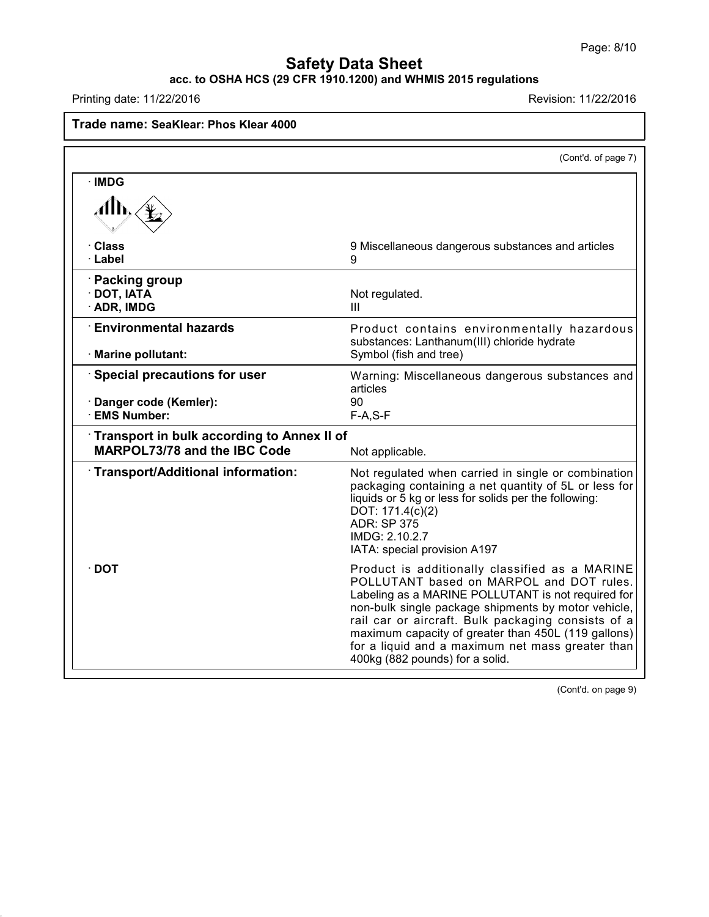## **acc. to OSHA HCS (29 CFR 1910.1200) and WHMIS 2015 regulations**

Printing date: 11/22/2016 **Revision: 11/22/2016** 

43.0

# **Trade name: SeaKlear: Phos Klear 4000**

|                                                                            | (Cont'd. of page 7)                                                                                                                                                                                                                                                                                                                                                                                         |
|----------------------------------------------------------------------------|-------------------------------------------------------------------------------------------------------------------------------------------------------------------------------------------------------------------------------------------------------------------------------------------------------------------------------------------------------------------------------------------------------------|
| · IMDG<br>Alb,                                                             |                                                                                                                                                                                                                                                                                                                                                                                                             |
| · Class<br>· Label                                                         | 9 Miscellaneous dangerous substances and articles<br>9                                                                                                                                                                                                                                                                                                                                                      |
| · Packing group<br>$\cdot$ DOT, IATA<br>· ADR, IMDG                        | Not regulated.<br>Ш                                                                                                                                                                                                                                                                                                                                                                                         |
| <b>Environmental hazards</b><br>· Marine pollutant:                        | Product contains environmentally hazardous<br>substances: Lanthanum(III) chloride hydrate<br>Symbol (fish and tree)                                                                                                                                                                                                                                                                                         |
| Special precautions for user<br>Danger code (Kemler):<br>· EMS Number:     | Warning: Miscellaneous dangerous substances and<br>articles<br>90<br>$F-A, S-F$                                                                                                                                                                                                                                                                                                                             |
| Transport in bulk according to Annex II of<br>MARPOL73/78 and the IBC Code | Not applicable.                                                                                                                                                                                                                                                                                                                                                                                             |
| Transport/Additional information:                                          | Not regulated when carried in single or combination<br>packaging containing a net quantity of 5L or less for<br>liquids or 5 kg or less for solids per the following:<br>DOT: 171.4(c)(2)<br><b>ADR: SP 375</b><br>IMDG: 2.10.2.7<br>IATA: special provision A197                                                                                                                                           |
| ∙ DOT                                                                      | Product is additionally classified as a MARINE<br>POLLUTANT based on MARPOL and DOT rules.<br>Labeling as a MARINE POLLUTANT is not required for<br>non-bulk single package shipments by motor vehicle,<br>rail car or aircraft. Bulk packaging consists of a<br>maximum capacity of greater than 450L (119 gallons)<br>for a liquid and a maximum net mass greater than<br>400kg (882 pounds) for a solid. |

(Cont'd. on page 9)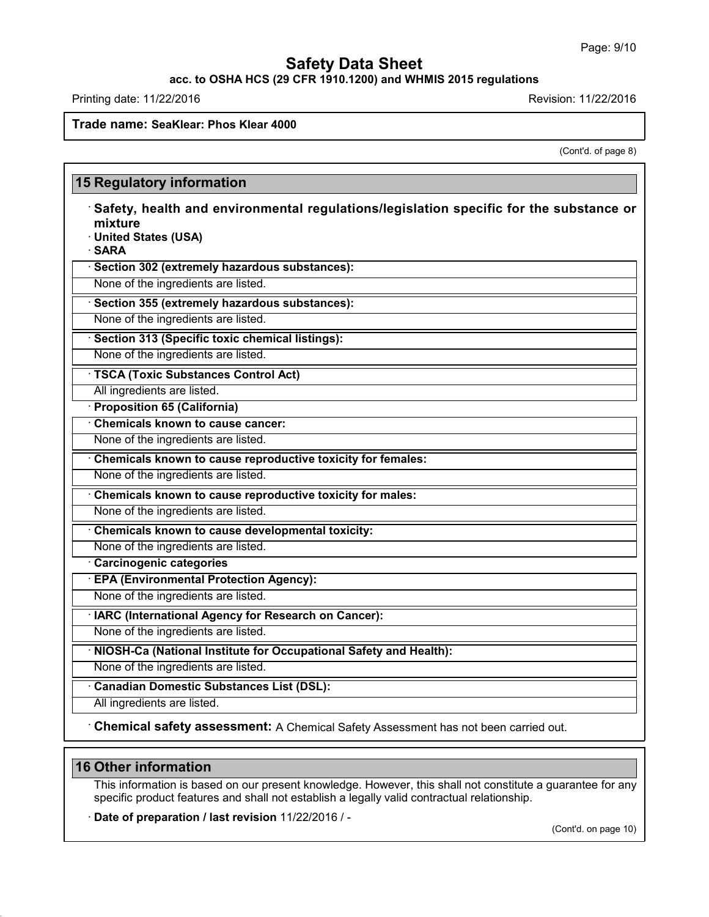**acc. to OSHA HCS (29 CFR 1910.1200) and WHMIS 2015 regulations**

Printing date: 11/22/2016 **Revision: 11/22/2016** 

**Trade name: SeaKlear: Phos Klear 4000**

(Cont'd. of page 8)

| mixture                       |                                                                                        |
|-------------------------------|----------------------------------------------------------------------------------------|
| · United States (USA)         |                                                                                        |
| · SARA                        |                                                                                        |
|                               | · Section 302 (extremely hazardous substances):<br>None of the ingredients are listed. |
|                               |                                                                                        |
|                               | · Section 355 (extremely hazardous substances):<br>None of the ingredients are listed. |
|                               |                                                                                        |
|                               | · Section 313 (Specific toxic chemical listings):                                      |
|                               | None of the ingredients are listed.                                                    |
|                               | <b>TSCA (Toxic Substances Control Act)</b>                                             |
| All ingredients are listed.   |                                                                                        |
| · Proposition 65 (California) |                                                                                        |
|                               | Chemicals known to cause cancer:<br>None of the ingredients are listed.                |
|                               |                                                                                        |
|                               | Chemicals known to cause reproductive toxicity for females:                            |
|                               | None of the ingredients are listed.                                                    |
|                               | Chemicals known to cause reproductive toxicity for males:                              |
|                               | None of the ingredients are listed.                                                    |
|                               | Chemicals known to cause developmental toxicity:                                       |
|                               | None of the ingredients are listed.                                                    |
| Carcinogenic categories       |                                                                                        |
|                               | · EPA (Environmental Protection Agency):                                               |
|                               | None of the ingredients are listed.                                                    |
|                               | · IARC (International Agency for Research on Cancer):                                  |
|                               | None of the ingredients are listed.                                                    |
|                               | · NIOSH-Ca (National Institute for Occupational Safety and Health):                    |
|                               | None of the ingredients are listed.                                                    |
|                               | <b>Canadian Domestic Substances List (DSL):</b>                                        |
| All ingredients are listed.   |                                                                                        |

# **16 Other information**

43.0

This information is based on our present knowledge. However, this shall not constitute a guarantee for any specific product features and shall not establish a legally valid contractual relationship.

· **Date of preparation / last revision** 11/22/2016 / -

(Cont'd. on page 10)